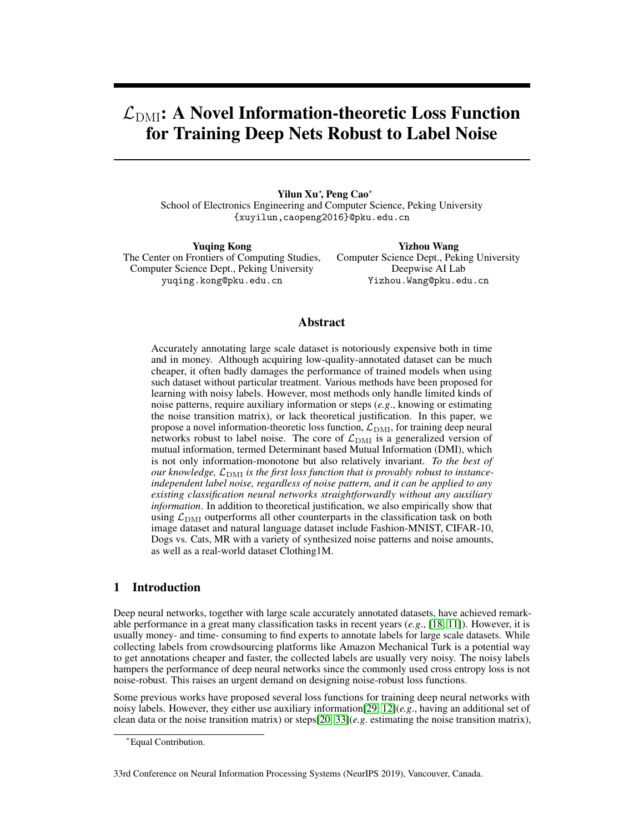# $\mathcal{L}_{\text{DMI}}$ : A Novel Information-theoretic Loss Function for Training Deep Nets Robust to Label Noise

Yilun Xu<sup>∗</sup> , Peng Cao<sup>∗</sup> School of Electronics Engineering and Computer Science, Peking University {xuyilun,caopeng2016}@pku.edu.cn

Yuqing Kong The Center on Frontiers of Computing Studies, Computer Science Dept., Peking University yuqing.kong@pku.edu.cn

Yizhou Wang Computer Science Dept., Peking University Deepwise AI Lab Yizhou.Wang@pku.edu.cn

# Abstract

Accurately annotating large scale dataset is notoriously expensive both in time and in money. Although acquiring low-quality-annotated dataset can be much cheaper, it often badly damages the performance of trained models when using such dataset without particular treatment. Various methods have been proposed for learning with noisy labels. However, most methods only handle limited kinds of noise patterns, require auxiliary information or steps (*e.g*., knowing or estimating the noise transition matrix), or lack theoretical justification. In this paper, we propose a novel information-theoretic loss function,  $\mathcal{L}_{\text{DMI}}$ , for training deep neural networks robust to label noise. The core of  $\mathcal{L}_{\text{DMI}}$  is a generalized version of mutual information, termed Determinant based Mutual Information (DMI), which is not only information-monotone but also relatively invariant. *To the best of our knowledge,*  $\mathcal{L}_{\text{DMI}}$  *is the first loss function that is provably robust to instanceindependent label noise, regardless of noise pattern, and it can be applied to any existing classification neural networks straightforwardly without any auxiliary information*. In addition to theoretical justification, we also empirically show that using  $\mathcal{L}_{\text{DMI}}$  outperforms all other counterparts in the classification task on both image dataset and natural language dataset include Fashion-MNIST, CIFAR-10, Dogs vs. Cats, MR with a variety of synthesized noise patterns and noise amounts, as well as a real-world dataset Clothing1M.

# 1 Introduction

Deep neural networks, together with large scale accurately annotated datasets, have achieved remarkable performance in a great many classification tasks in recent years (*e.g*., [18, 11]). However, it is usually money- and time- consuming to find experts to annotate labels for large scale datasets. While collecting labels from crowdsourcing platforms like Amazon Mechanical Turk is a potential way to get annotations cheaper and faster, the collected labels are usually very noisy. The noisy labels hampers the performance of deep neural networks since the commonly used cross entropy loss is not noise-robust. This raises an urgent demand on designing noise-robust loss functions.

Some previous works have proposed several loss functions for training deep neural networks with noisy labels. However, they either use auxiliary information[29, 12](*e.g*., having an additional set of clean data or the noise transition matrix) or steps[20, 33](*e.g*. estimating the noise transition matrix),

<sup>∗</sup>Equal Contribution.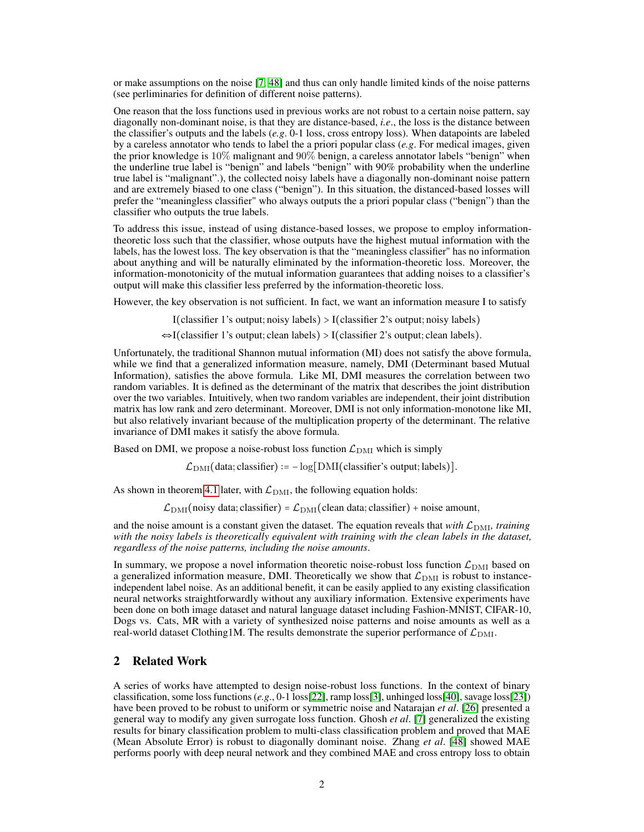or make assumptions on the noise [\[7,](#page-9-0) [48\]](#page-11-0) and thus can only handle limited kinds of the noise patterns (see perliminaries for definition of different noise patterns).

One reason that the loss functions used in previous works are not robust to a certain noise pattern, say diagonally non-dominant noise, is that they are distance-based, *i.e*., the loss is the distance between the classifier's outputs and the labels (*e.g*. 0-1 loss, cross entropy loss). When datapoints are labeled by a careless annotator who tends to label the a priori popular class (*e.g*. For medical images, given the prior knowledge is 10% malignant and 90% benign, a careless annotator labels "benign" when the underline true label is "benign" and labels "benign" with 90% probability when the underline true label is "malignant".), the collected noisy labels have a diagonally non-dominant noise pattern and are extremely biased to one class ("benign"). In this situation, the distanced-based losses will prefer the "meaningless classifier" who always outputs the a priori popular class ("benign") than the classifier who outputs the true labels.

To address this issue, instead of using distance-based losses, we propose to employ informationtheoretic loss such that the classifier, whose outputs have the highest mutual information with the labels, has the lowest loss. The key observation is that the "meaningless classifier" has no information about anything and will be naturally eliminated by the information-theoretic loss. Moreover, the information-monotonicity of the mutual information guarantees that adding noises to a classifier's output will make this classifier less preferred by the information-theoretic loss.

However, the key observation is not sufficient. In fact, we want an information measure I to satisfy

I(classifier 1's output; noisy labels)  $>$  I(classifier 2's output; noisy labels)

⇔I(classifier 1's output; clean labels) > I(classifier 2's output; clean labels).

Unfortunately, the traditional Shannon mutual information (MI) does not satisfy the above formula, while we find that a generalized information measure, namely, DMI (Determinant based Mutual Information), satisfies the above formula. Like MI, DMI measures the correlation between two random variables. It is defined as the determinant of the matrix that describes the joint distribution over the two variables. Intuitively, when two random variables are independent, their joint distribution matrix has low rank and zero determinant. Moreover, DMI is not only information-monotone like MI, but also relatively invariant because of the multiplication property of the determinant. The relative invariance of DMI makes it satisfy the above formula.

Based on DMI, we propose a noise-robust loss function  $\mathcal{L}_{\text{DMI}}$  which is simply

 $\mathcal{L}_{\text{DMI}}$ (data; classifier) :=  $-\log[\text{DMI}(\text{classify}]$  soutput; labels)].

As shown in theorem [4.1](#page-5-0) later, with  $\mathcal{L}_{\text{DMI}}$ , the following equation holds:

 $\mathcal{L}_{\text{DMI}}(\text{noisy data}; \text{classify}) = \mathcal{L}_{\text{DMI}}(\text{clean data}; \text{classify}) + \text{noise amount},$ 

and the noise amount is a constant given the dataset. The equation reveals that *with*  $\mathcal{L}_{\text{DMI}}$ *, training with the noisy labels is theoretically equivalent with training with the clean labels in the dataset, regardless of the noise patterns, including the noise amounts*.

In summary, we propose a novel information theoretic noise-robust loss function  $\mathcal{L}_{\text{DMI}}$  based on a generalized information measure, DMI. Theoretically we show that  $\mathcal{L}_{\text{DMI}}$  is robust to instanceindependent label noise. As an additional benefit, it can be easily applied to any existing classification neural networks straightforwardly without any auxiliary information. Extensive experiments have been done on both image dataset and natural language dataset including Fashion-MNIST, CIFAR-10, Dogs vs. Cats, MR with a variety of synthesized noise patterns and noise amounts as well as a real-world dataset Clothing1M. The results demonstrate the superior performance of  $\mathcal{L}_{\text{DMI}}$ .

## 2 Related Work

A series of works have attempted to design noise-robust loss functions. In the context of binary classification, some loss functions (*e.g*., 0-1 loss[\[22\]](#page-10-0), ramp loss[\[3\]](#page-9-1), unhinged loss[\[40\]](#page-11-1), savage loss[\[23\]](#page-10-1)) have been proved to be robust to uniform or symmetric noise and Natarajan *et al*. [\[26\]](#page-10-2) presented a general way to modify any given surrogate loss function. Ghosh *et al*. [\[7\]](#page-9-0) generalized the existing results for binary classification problem to multi-class classification problem and proved that MAE (Mean Absolute Error) is robust to diagonally dominant noise. Zhang *et al*. [\[48\]](#page-11-0) showed MAE performs poorly with deep neural network and they combined MAE and cross entropy loss to obtain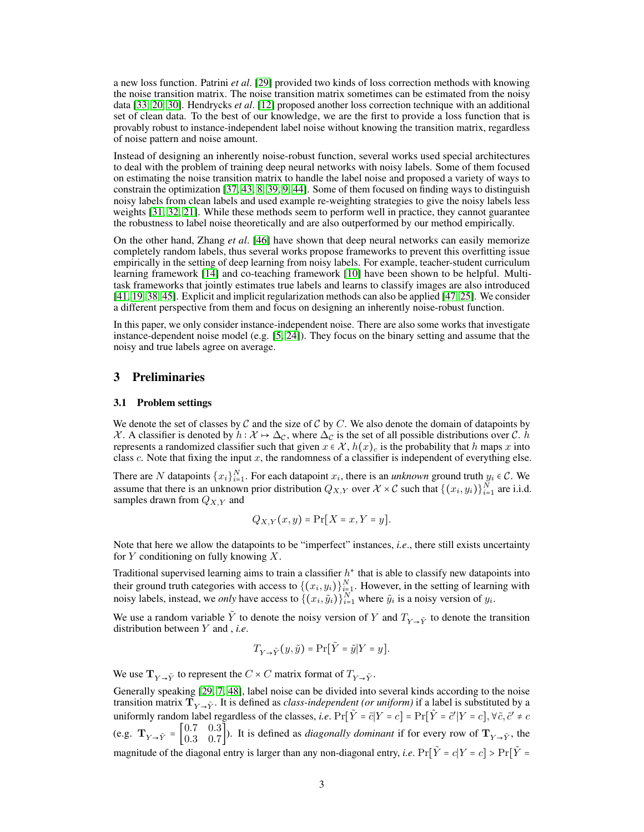a new loss function. Patrini *et al*. [\[29\]](#page-10-3) provided two kinds of loss correction methods with knowing the noise transition matrix. The noise transition matrix sometimes can be estimated from the noisy data [\[33,](#page-10-4) [20,](#page-10-5) [30\]](#page-10-6). Hendrycks *et al*. [\[12\]](#page-9-2) proposed another loss correction technique with an additional set of clean data. To the best of our knowledge, we are the first to provide a loss function that is provably robust to instance-independent label noise without knowing the transition matrix, regardless of noise pattern and noise amount.

Instead of designing an inherently noise-robust function, several works used special architectures to deal with the problem of training deep neural networks with noisy labels. Some of them focused on estimating the noise transition matrix to handle the label noise and proposed a variety of ways to constrain the optimization [\[37,](#page-10-7) [43,](#page-11-2) [8,](#page-9-3) [39,](#page-11-3) [9,](#page-9-4) [44\]](#page-11-4). Some of them focused on finding ways to distinguish noisy labels from clean labels and used example re-weighting strategies to give the noisy labels less weights [\[31,](#page-10-8) [32,](#page-10-9) [21\]](#page-10-10). While these methods seem to perform well in practice, they cannot guarantee the robustness to label noise theoretically and are also outperformed by our method empirically.

On the other hand, Zhang *et al*. [\[46\]](#page-11-5) have shown that deep neural networks can easily memorize completely random labels, thus several works propose frameworks to prevent this overfitting issue empirically in the setting of deep learning from noisy labels. For example, teacher-student curriculum learning framework [\[14\]](#page-9-5) and co-teaching framework [\[10\]](#page-9-6) have been shown to be helpful. Multitask frameworks that jointly estimates true labels and learns to classify images are also introduced [\[41,](#page-11-6) [19,](#page-10-11) [38,](#page-11-7) [45\]](#page-11-8). Explicit and implicit regularization methods can also be applied [\[47,](#page-11-9) [25\]](#page-10-12). We consider a different perspective from them and focus on designing an inherently noise-robust function.

In this paper, we only consider instance-independent noise. There are also some works that investigate instance-dependent noise model (e.g. [\[5,](#page-9-7) [24\]](#page-10-13)). They focus on the binary setting and assume that the noisy and true labels agree on average.

## 3 Preliminaries

#### 3.1 Problem settings

We denote the set of classes by  $C$  and the size of  $C$  by  $C$ . We also denote the domain of datapoints by X. A classifier is denoted by  $h : \mathcal{X} \to \Delta_{\mathcal{C}}$ , where  $\Delta_{\mathcal{C}}$  is the set of all possible distributions over C. h represents a randomized classifier such that given  $x \in \mathcal{X}$ ,  $h(x)_c$  is the probability that h maps x into class  $c$ . Note that fixing the input  $x$ , the randomness of a classifier is independent of everything else.

There are N datapoints  $\{x_i\}_{i=1}^N$ . For each datapoint  $x_i$ , there is an *unknown* ground truth  $y_i \in \mathcal{C}$ . We assume that there is an unknown prior distribution  $Q_{X,Y}$  over  $\mathcal{X} \times \mathcal{C}$  such that  $\{(x_i, y_i)\}_{i=1}^N$  are i.i.d. samples drawn from  $Q_{X,Y}$  and

$$
Q_{X,Y}(x,y) = \Pr[X = x, Y = y].
$$

Note that here we allow the datapoints to be "imperfect" instances, *i.e*., there still exists uncertainty for  $Y$  conditioning on fully knowing  $X$ .

Traditional supervised learning aims to train a classifier  $h^*$  that is able to classify new datapoints into their ground truth categories with access to  $\{(x_i, y_i)\}_{i=1}^N$ . However, in the setting of learning with noisy labels, instead, we *only* have access to  $\{(x_i, \tilde{y}_i)\}_{i=1}^N$  where  $\tilde{y}_i$  is a noisy version of  $y_i$ .

We use a random variable  $\tilde{Y}$  to denote the noisy version of Y and  $T_{Y\rightarrow \tilde{Y}}$  to denote the transition distribution between Y and , *i.e*.

$$
T_{Y\to \tilde Y}(y,\tilde y) = \Pr[\tilde Y=\tilde y|Y=y].
$$

We use  $\mathbf{T}_{Y\rightarrow \tilde{Y}}$  to represent the  $C \times C$  matrix format of  $T_{Y\rightarrow \tilde{Y}}$ .

Generally speaking [\[29,](#page-10-3) [7,](#page-9-0) [48\]](#page-11-0), label noise can be divided into several kinds according to the noise transition matrix  $\mathbf{T}_{Y\to \tilde{Y}}$ . It is defined as *class-independent (or uniform)* if a label is substituted by a uniformly random label regardless of the classes, *i.e.*  $Pr[\tilde{Y} = \tilde{c}|Y = c] = Pr[\tilde{Y} = \tilde{c}'|Y = c]$ ,  $\forall \tilde{c}, \tilde{c}' \neq c$ (e.g.  $\mathbf{T}_{Y\to \tilde{Y}} = \begin{bmatrix} 0.7 & 0.3 \\ 0.3 & 0.7 \end{bmatrix}$  $\begin{bmatrix} 0.7 & 0.9 \\ 0.3 & 0.7 \end{bmatrix}$ . It is defined as *diagonally dominant* if for every row of  $\mathbf{T}_{Y\rightarrow \tilde{Y}}$ , the magnitude of the diagonal entry is larger than any non-diagonal entry, *i.e.*  $Pr[\tilde{Y} = c|Y = c] > Pr[\tilde{Y} = c]$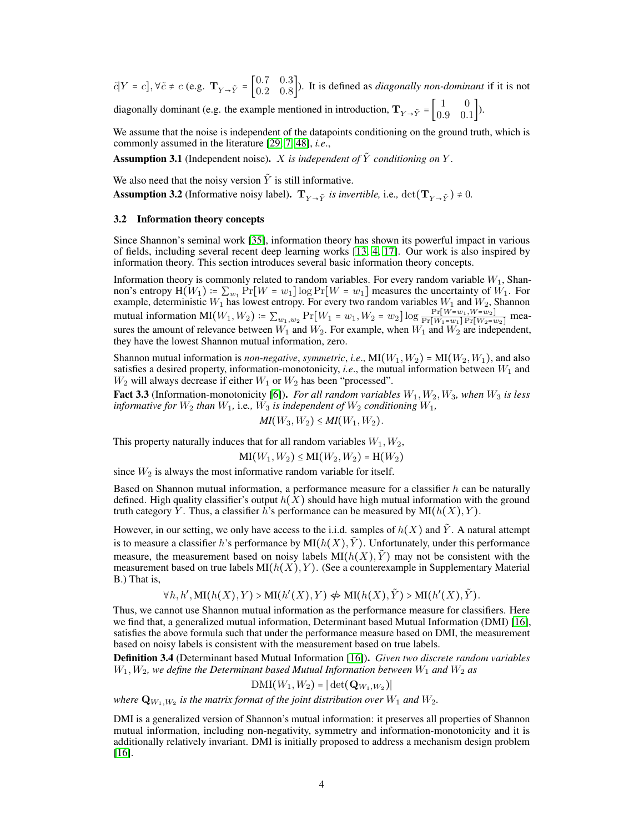$\tilde{c}[Y = c], \forall \tilde{c} \neq c \text{ (e.g. } \mathbf{T}_{Y \to \tilde{Y}} = \begin{bmatrix} 0.7 & 0.3 \\ 0.2 & 0.8 \end{bmatrix}$  $\begin{bmatrix} 0.1 & 0.9 \\ 0.2 & 0.8 \end{bmatrix}$ . It is defined as *diagonally non-dominant* if it is not diagonally dominant (e.g. the example mentioned in introduction,  $\mathbf{T}_{Y\rightarrow \tilde{Y}} = \begin{bmatrix} 1 & 0 \\ 0.9 & 0 \end{bmatrix}$  $\begin{bmatrix} 1 & 0 \\ 0.9 & 0.1 \end{bmatrix}$ .

We assume that the noise is independent of the datapoints conditioning on the ground truth, which is commonly assumed in the literature [\[29,](#page-10-3) [7,](#page-9-0) [48\]](#page-11-0), *i.e*.,

Assumption 3.1 (Independent noise). X is independent of  $\tilde{Y}$  conditioning on Y.

We also need that the noisy version  $\tilde{Y}$  is still informative.

**Assumption 3.2** (Informative noisy label).  $T_{V \to \tilde{V}}$  *is invertible, i.e.,* det $(T_{V \to \tilde{V}}) \neq 0$ .

#### 3.2 Information theory concepts

Since Shannon's seminal work [\[35\]](#page-10-14), information theory has shown its powerful impact in various of fields, including several recent deep learning works [\[13,](#page-9-8) [4,](#page-9-9) [17\]](#page-9-10). Our work is also inspired by information theory. This section introduces several basic information theory concepts.

Information theory is commonly related to random variables. For every random variable  $W_1$ , Shannon's entropy  $H(W_1) := \sum_{w_1} Pr[W = w_1] \log Pr[W = w_1]$  measures the uncertainty of  $W_1$ . For example, deterministic  $W_1$  has lowest entropy. For every two random variables  $W_1$  and  $W_2$ , Shannon mutual information  $MI(W_1, W_2) = \sum_{w_1, w_2} Pr[W_1 = w_1, W_2 = w_2] \log \frac{Pr[W = w_1, W = w_2]}{Pr[W_1 = w_1] Pr[W_2 = w_2]}$  measures the amount of relevance between  $W_1$  and  $W_2$ . For example, when  $W_1$  and  $W_2$  are independent, they have the lowest Shannon mutual information, zero.

Shannon mutual information is *non-negative*, *symmetric*, *i.e.*,  $MI(W_1, W_2) = MI(W_2, W_1)$ , and also satisfies a desired property, information-monotonicity, *i.e.*, the mutual information between  $W_1$  and  $W_2$  will always decrease if either  $W_1$  or  $W_2$  has been "processed".

Fact 3.3 (Information-monotonicity [\[6\]](#page-9-11)). *For all random variables*  $W_1, W_2, W_3$ *, when*  $W_3$  *is less informative for*  $W_2$  *than*  $W_1$ *, i.e.,*  $W_3$  *is independent of*  $W_2$  *conditioning*  $W_1$ *,* 

$$
MI(W_3, W_2) \le MI(W_1, W_2).
$$

This property naturally induces that for all random variables  $W_1, W_2$ ,

 $MI(W_1, W_2) \le MI(W_2, W_2) = H(W_2)$ 

since  $W_2$  is always the most informative random variable for itself.

Based on Shannon mutual information, a performance measure for a classifier  $h$  can be naturally defined. High quality classifier's output  $h(X)$  should have high mutual information with the ground truth category Y. Thus, a classifier h's performance can be measured by  $MI(h(X), Y)$ .

However, in our setting, we only have access to the i.i.d. samples of  $h(X)$  and  $\overline{Y}$ . A natural attempt is to measure a classifier h's performance by  $MI(h(X), Y)$ . Unfortunately, under this performance measure, the measurement based on noisy labels  $MI(h(X), Y)$  may not be consistent with the measurement based on true labels  $MI(h(X), Y)$ . (See a counterexample in Supplementary Material B.) That is,

 $\forall h, h', \text{MI}(h(X), Y) > \text{MI}(h'(X), Y) \nleftrightarrow \text{MI}(h(X), \tilde{Y}) > \text{MI}(h'(X), \tilde{Y}).$ 

Thus, we cannot use Shannon mutual information as the performance measure for classifiers. Here we find that, a generalized mutual information, Determinant based Mutual Information (DMI) [\[16\]](#page-9-12), satisfies the above formula such that under the performance measure based on DMI, the measurement based on noisy labels is consistent with the measurement based on true labels.

Definition 3.4 (Determinant based Mutual Information [\[16\]](#page-9-12)). *Given two discrete random variables*  $W_1, W_2$ , we define the Determinant based Mutual Information between  $W_1$  and  $W_2$  as

 $\mathrm{DMI}(W_1,W_2)=|\det(\mathbf{Q}_{W_1,W_2})|$ 

where  $\mathbf{Q}_{W_1,W_2}$  is the matrix format of the joint distribution over  $W_1$  and  $W_2.$ 

DMI is a generalized version of Shannon's mutual information: it preserves all properties of Shannon mutual information, including non-negativity, symmetry and information-monotonicity and it is additionally relatively invariant. DMI is initially proposed to address a mechanism design problem [\[16\]](#page-9-12).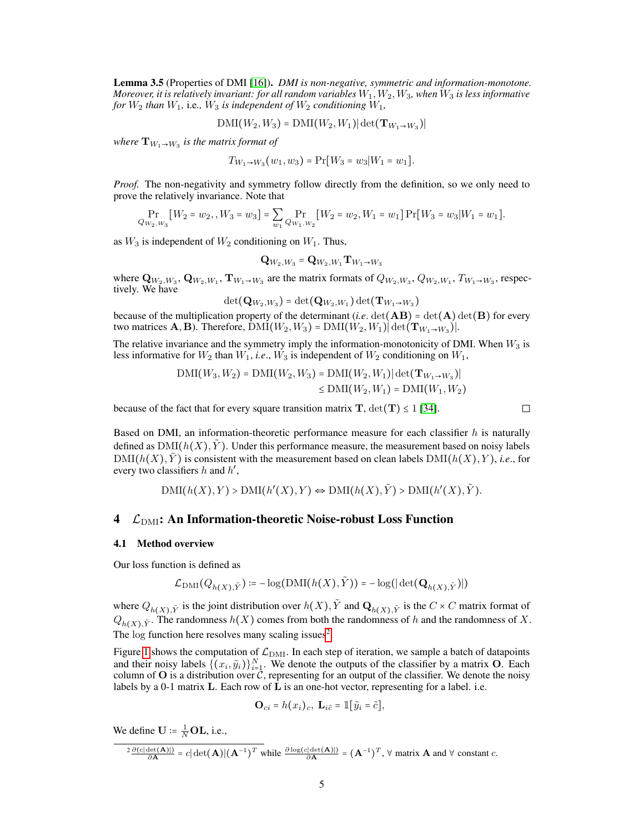Lemma 3.5 (Properties of DMI [\[16\]](#page-9-12)). *DMI is non-negative, symmetric and information-monotone. Moreover, it is relatively invariant: for all random variables*  $W_1, W_2, W_3$ *, when*  $W_3$  *is less informative for*  $W_2$  *than*  $W_1$ *, i.e.,*  $W_3$  *is independent of*  $W_2$  *conditioning*  $W_1$ *,* 

$$
\mathrm{DMI}(W_2,W_3) = \mathrm{DMI}(W_2,W_1) |\det(\mathbf{T}_{W_1 \to W_3})|
$$

where  $\mathbf{T}_{W_1 \to W_3}$  is the matrix format of

$$
T_{W_1 \to W_3}(w_1, w_3) = \Pr[W_3 = w_3 | W_1 = w_1].
$$

*Proof.* The non-negativity and symmetry follow directly from the definition, so we only need to prove the relatively invariance. Note that

 $Pr_{Q_{W_2,W_3}}[W_2 = w_2, , W_3 = w_3] = \sum_{w_1}$  $\Pr_{Q_{W_1,W_2}}[W_2 = w_2, W_1 = w_1] \Pr[W_3 = w_3|W_1 = w_1].$ 

as  $W_3$  is independent of  $W_2$  conditioning on  $W_1$ . Thus,

$$
\mathbf{Q}_{W_2,W_3} = \mathbf{Q}_{W_2,W_1} \mathbf{T}_{W_1 \to W_3}
$$

where  $Q_{W_2,W_3}, Q_{W_2,W_1}, T_{W_1 \to W_3}$  are the matrix formats of  $Q_{W_2,W_3}, Q_{W_2,W_1}, T_{W_1 \to W_3}$ , respectively. We have

$$
\det(\mathbf{Q}_{W_2,W_3}) = \det(\mathbf{Q}_{W_2,W_1}) \det(\mathbf{T}_{W_1\rightarrow W_3})
$$

because of the multiplication property of the determinant (*i.e.* det( $\bf{AB}$ ) = det( $\bf{A}$ ) det( $\bf{B}$ ) for every two matrices **A**, **B**). Therefore,  $\text{DMI}(W_2, W_3) = \text{DMI}(W_2, W_1) |\text{det}(\mathbf{T}_{W_1 \to W_3})|$ .

The relative invariance and the symmetry imply the information-monotonicity of DMI. When  $W_3$  is less informative for  $W_2$  than  $W_1$ , *i.e.*,  $W_3$  is independent of  $W_2$  conditioning on  $W_1$ ,

$$
DMI(W_3, W_2) = DMI(W_2, W_3) = DMI(W_2, W_1) |\det(\mathbf{T}_{W_1 \to W_3})|
$$
  
\n
$$
\leq DMI(W_2, W_1) = DMI(W_1, W_2)
$$

because of the fact that for every square transition matrix  $T$ ,  $det(T) \le 1$  [\[34\]](#page-10-15).

Based on DMI, an information-theoretic performance measure for each classifier  $h$  is naturally defined as  $\text{DMI}(h(X), Y)$ . Under this performance measure, the measurement based on noisy labels  $DMI(h(X), \tilde{Y})$  is consistent with the measurement based on clean labels  $DMI(h(X), Y)$ , *i.e.*, for every two classifiers h and h',

$$
\text{DMI}(h(X), Y) > \text{DMI}(h'(X), Y) \Leftrightarrow \text{DMI}(h(X), \tilde{Y}) > \text{DMI}(h'(X), \tilde{Y}).
$$

# 4  $\mathcal{L}_{\text{DMI}}$ : An Information-theoretic Noise-robust Loss Function

#### 4.1 Method overview

Our loss function is defined as

$$
\mathcal{L}_{\text{DMI}}(Q_{h(X),\tilde{Y}}) \coloneqq -\log(\text{DMI}(h(X),\tilde{Y})) = -\log(|\det(\mathbf{Q}_{h(X),\tilde{Y}})|)
$$

where  $Q_{h(X),\tilde{Y}}$  is the joint distribution over  $h(X), \tilde{Y}$  and  $\mathbf{Q}_{h(X),\tilde{Y}}$  is the  $C \times C$  matrix format of  $Q_{h(X),\tilde{Y}}$ . The randomness  $h(X)$  comes from both the randomness of h and the randomness of X. The log function here resolves many scaling issues<sup>[2](#page-4-0)</sup>.

Figure [1](#page-5-1) shows the computation of  $\mathcal{L}_{\text{DMI}}$ . In each step of iteration, we sample a batch of datapoints and their noisy labels  $\{(x_i, \tilde{y}_i)\}_{i=1}^N$ . We denote the outputs of the classifier by a matrix O. Each column of  $O$  is a distribution over  $\mathcal{C}$ , representing for an output of the classifier. We denote the noisy labels by a 0-1 matrix  $\bf{L}$ . Each row of  $\bf{L}$  is an one-hot vector, representing for a label. i.e.

$$
\mathbf{O}_{ci} = h(x_i)_c, \mathbf{L}_{i\tilde{c}} = \mathbb{1}[\tilde{y}_i = \tilde{c}],
$$

We define  $\mathbf{U} \coloneqq \frac{1}{N} \mathbf{OL}$ , i.e.,

<span id="page-4-0"></span>
$$
\frac{2 \frac{\partial (c|\det(\mathbf{A})|)}{\partial \mathbf{A}}}{\partial \mathbf{A}} = c|\det(\mathbf{A})| (\mathbf{A}^{-1})^T \text{ while } \frac{\partial \log(c|\det(\mathbf{A})|)}{\partial \mathbf{A}} = (\mathbf{A}^{-1})^T, \forall \text{ matrix } \mathbf{A} \text{ and } \forall \text{ constant } c.
$$

 $\Box$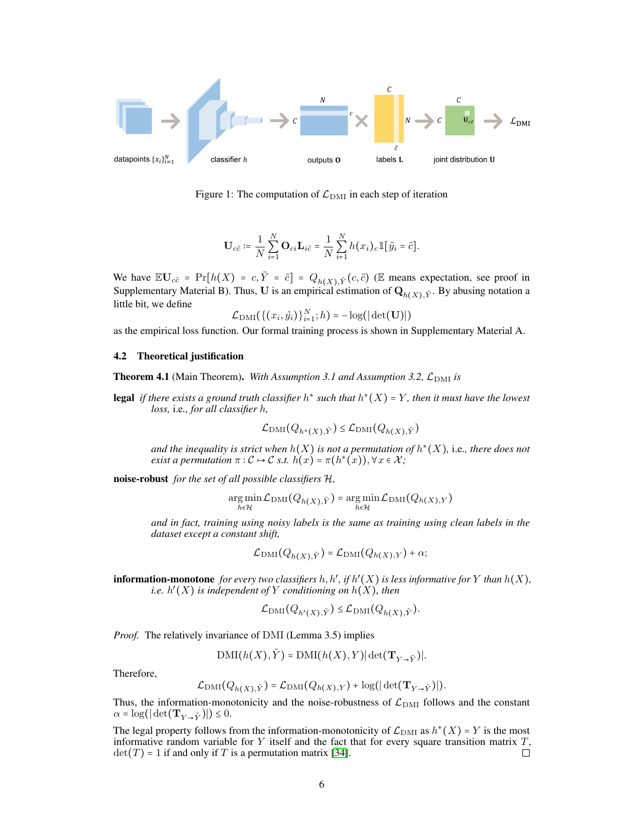

Figure 1: The computation of  $\mathcal{L}_{\text{DMI}}$  in each step of iteration

<span id="page-5-1"></span>
$$
\mathbf{U}_{c\tilde{c}} \coloneqq \frac{1}{N} \sum_{i=1}^N \mathbf{O}_{ci} \mathbf{L}_{i\tilde{c}} = \frac{1}{N} \sum_{i=1}^N h(x_i)_c \mathbbm{1}[\tilde{y}_i = \tilde{c}].
$$

We have  $\mathbb{E} \mathbf{U}_{c\tilde{c}} = \Pr[h(X) = c, \tilde{Y} = \tilde{c}] = Q_{h(X), \tilde{Y}}(c, \tilde{c})$  (E means expectation, see proof in Supplementary Material B). Thus, U is an empirical estimation of  $Q_{h(X), \tilde{Y}}$ . By abusing notation a little bit, we define

$$
\mathcal{L}_{\text{DMI}}(\{(x_i, \tilde{y}_i)\}_{i=1}^N; h) = -\log(|\det(\mathbf{U})|)
$$

as the empirical loss function. Our formal training process is shown in Supplementary Material A.

#### 4.2 Theoretical justification

<span id="page-5-0"></span>**Theorem 4.1** (Main Theorem). *With Assumption 3.1 and Assumption 3.2,*  $\mathcal{L}_{\text{DMI}}$  *is* 

**legal** if there exists a ground truth classifier  $h^*$  such that  $h^*(X) = Y$ , then it must have the lowest *loss,* i.e*., for all classifier* h*,*

$$
\mathcal{L}_{\text{DMI}}(Q_{h^*(X), \tilde{Y}}) \le \mathcal{L}_{\text{DMI}}(Q_{h(X), \tilde{Y}})
$$

and the inequality is strict when  $h(X)$  is not a permutation of  $h^*(X)$ , i.e., there does not *exist a permutation*  $\pi : C \mapsto C$  *s.t.*  $\hat{h}(x) = \pi(h^*(x)), \forall x \in \mathcal{X}$ ;

noise-robust *for the set of all possible classifiers* H*,*

$$
\operatornamewithlimits{arg\,min}_{h\in\mathcal{H}}\mathcal{L}_{{\rm DMI}}\big(Q_{h(X),\tilde{Y}}\big)=\operatornamewithlimits{arg\,min}_{h\in\mathcal{H}}\mathcal{L}_{{\rm DMI}}\big(Q_{h(X),Y}\big)
$$

*and in fact, training using noisy labels is the same as training using clean labels in the dataset except a constant shift,*

$$
\mathcal{L}_{\text{DMI}}(Q_{h(X),\tilde{Y}}) = \mathcal{L}_{\text{DMI}}(Q_{h(X),Y}) + \alpha;
$$

**information-monotone** for every two classifiers  $h, h',$  if  $h'(X)$  is less informative for Y than  $h(X)$ , *i.e.* h ′ (X) *is independent of* Y *conditioning on* h(X)*, then*

$$
\mathcal{L}_{\text{DMI}}(Q_{h'(X), \tilde{Y}}) \leq \mathcal{L}_{\text{DMI}}(Q_{h(X), \tilde{Y}}).
$$

*Proof.* The relatively invariance of DMI (Lemma 3.5) implies

$$
\mathrm{DMI}(h(X),\tilde{Y})=\mathrm{DMI}(h(X),Y)|\det(\mathbf{T}_{Y\rightarrow \tilde{Y}})|.
$$

Therefore,

$$
\mathcal{L}_{\text{DMI}}(Q_{h(X),\tilde{Y}}) = \mathcal{L}_{\text{DMI}}(Q_{h(X),Y}) + \log(|\det(\mathbf{T}_{Y\rightarrow \tilde{Y}})|).
$$

Thus, the information-monotonicity and the noise-robustness of  $\mathcal{L}_{\text{DMI}}$  follows and the constant  $\alpha = \log(|\det(\mathbf{T}_{Y\rightarrow \tilde{Y}})|) \leq 0.$ 

The legal property follows from the information-monotonicity of  $\mathcal{L}_{\text{DMI}}$  as  $h^*(X) = Y$  is the most informative random variable for Y itself and the fact that for every square transition matrix  $T$ ,  $det(T) = 1$  if and only if T is a permutation matrix [34].  $\det(T) = 1$  if and only if T is a permutation matrix [\[34\]](#page-10-15).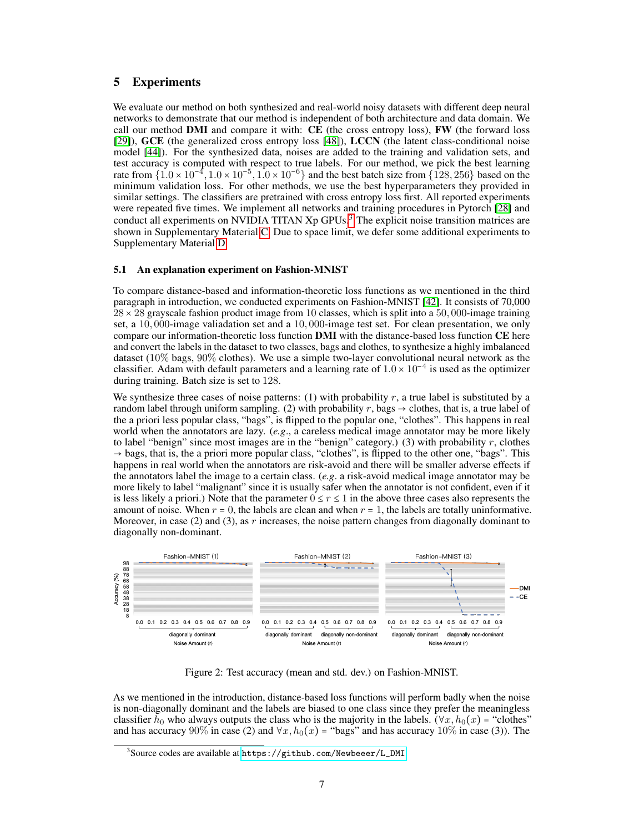# 5 Experiments

We evaluate our method on both synthesized and real-world noisy datasets with different deep neural networks to demonstrate that our method is independent of both architecture and data domain. We call our method DMI and compare it with: CE (the cross entropy loss), FW (the forward loss [\[29\]](#page-10-3)), GCE (the generalized cross entropy loss [\[48\]](#page-11-0)), LCCN (the latent class-conditional noise model [\[44\]](#page-11-4)). For the synthesized data, noises are added to the training and validation sets, and test accuracy is computed with respect to true labels. For our method, we pick the best learning rate from  $\{1.0 \times 10^{-4}, 1.0 \times 10^{-5}, 1.0 \times 10^{-6}\}$  and the best batch size from  $\{128, 256\}$  based on the minimum validation loss. For other methods, we use the best hyperparameters they provided in similar settings. The classifiers are pretrained with cross entropy loss first. All reported experiments were repeated five times. We implement all networks and training procedures in Pytorch [\[28\]](#page-10-16) and conduct all experiments on NVIDIA TITAN  $Xp$  GPUs.<sup>[3](#page-6-0)</sup> The explicit noise transition matrices are shown in Supplementary Material [C.](#page-13-0) Due to space limit, we defer some additional experiments to Supplementary Material [D.](#page-14-0)

## 5.1 An explanation experiment on Fashion-MNIST

To compare distance-based and information-theoretic loss functions as we mentioned in the third paragraph in introduction, we conducted experiments on Fashion-MNIST [\[42\]](#page-11-10). It consists of 70,000  $28 \times 28$  grayscale fashion product image from 10 classes, which is split into a 50,000-image training set, a 10, 000-image valiadation set and a 10, 000-image test set. For clean presentation, we only compare our information-theoretic loss function DMI with the distance-based loss function CE here and convert the labels in the dataset to two classes, bags and clothes, to synthesize a highly imbalanced dataset (10% bags, 90% clothes). We use a simple two-layer convolutional neural network as the classifier. Adam with default parameters and a learning rate of  $1.0 \times 10^{-4}$  is used as the optimizer during training. Batch size is set to 128.

We synthesize three cases of noise patterns: (1) with probability  $r$ , a true label is substituted by a random label through uniform sampling. (2) with probability r, bags  $\rightarrow$  clothes, that is, a true label of the a priori less popular class, "bags", is flipped to the popular one, "clothes". This happens in real world when the annotators are lazy. (*e.g*., a careless medical image annotator may be more likely to label "benign" since most images are in the "benign" category.) (3) with probability  $r$ , clothes  $\rightarrow$  bags, that is, the a priori more popular class, "clothes", is flipped to the other one, "bags". This happens in real world when the annotators are risk-avoid and there will be smaller adverse effects if the annotators label the image to a certain class. (*e.g*. a risk-avoid medical image annotator may be more likely to label "malignant" since it is usually safer when the annotator is not confident, even if it is less likely a priori.) Note that the parameter  $0 \le r \le 1$  in the above three cases also represents the amount of noise. When  $r = 0$ , the labels are clean and when  $r = 1$ , the labels are totally uninformative. Moreover, in case (2) and (3), as r increases, the noise pattern changes from diagonally dominant to diagonally non-dominant.



Figure 2: Test accuracy (mean and std. dev.) on Fashion-MNIST.

As we mentioned in the introduction, distance-based loss functions will perform badly when the noise is non-diagonally dominant and the labels are biased to one class since they prefer the meaningless classifier  $h_0$  who always outputs the class who is the majority in the labels. ( $\forall x, h_0(x) =$  "clothes" and has accuracy 90% in case (2) and  $\forall x, h_0(x) =$  "bags" and has accuracy 10% in case (3)). The

<span id="page-6-0"></span> $^3$ Source codes are available at <code>[https://github.com/Newbeeer/L\\_DMI](https://github.com/Newbeeer/L_DMI).</code>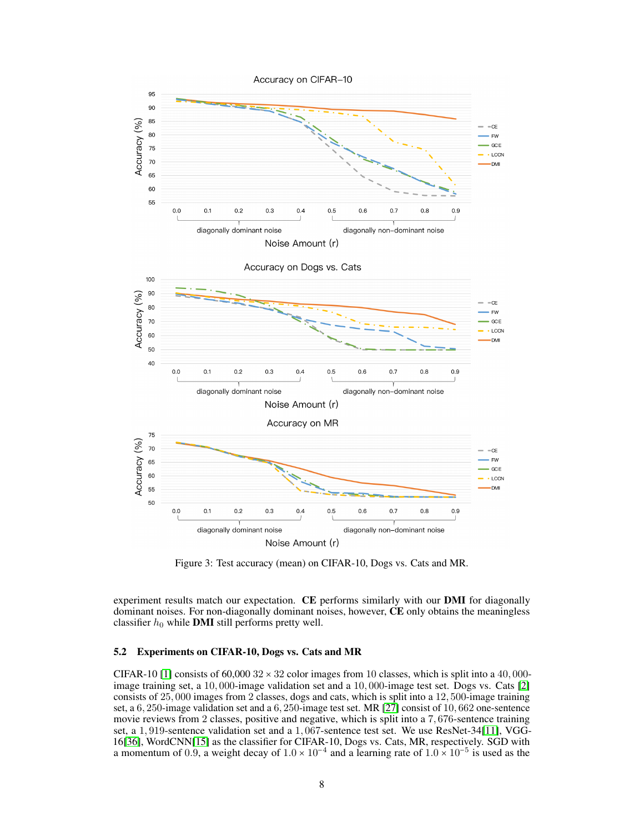

<span id="page-7-0"></span>Figure 3: Test accuracy (mean) on CIFAR-10, Dogs vs. Cats and MR.

experiment results match our expectation. CE performs similarly with our DMI for diagonally dominant noises. For non-diagonally dominant noises, however, CE only obtains the meaningless classifier  $h_0$  while **DMI** still performs pretty well.

## 5.2 Experiments on CIFAR-10, Dogs vs. Cats and MR

CIFAR-10 [\[1\]](#page-9-13) consists of 60,000  $32 \times 32$  color images from 10 classes, which is split into a 40,000image training set, a 10, 000-image validation set and a 10, 000-image test set. Dogs vs. Cats [\[2\]](#page-9-14) consists of 25, 000 images from 2 classes, dogs and cats, which is split into a 12, 500-image training set, a 6, 250-image validation set and a 6, 250-image test set. MR [\[27\]](#page-10-17) consist of 10, 662 one-sentence movie reviews from 2 classes, positive and negative, which is split into a 7, 676-sentence training set, a 1, 919-sentence validation set and a 1, 067-sentence test set. We use ResNet-34[\[11\]](#page-9-15), VGG-16[\[36\]](#page-10-18), WordCNN[\[15\]](#page-9-16) as the classifier for CIFAR-10, Dogs vs. Cats, MR, respectively. SGD with a momentum of 0.9, a weight decay of  $1.0 \times 10^{-4}$  and a learning rate of  $1.0 \times 10^{-5}$  is used as the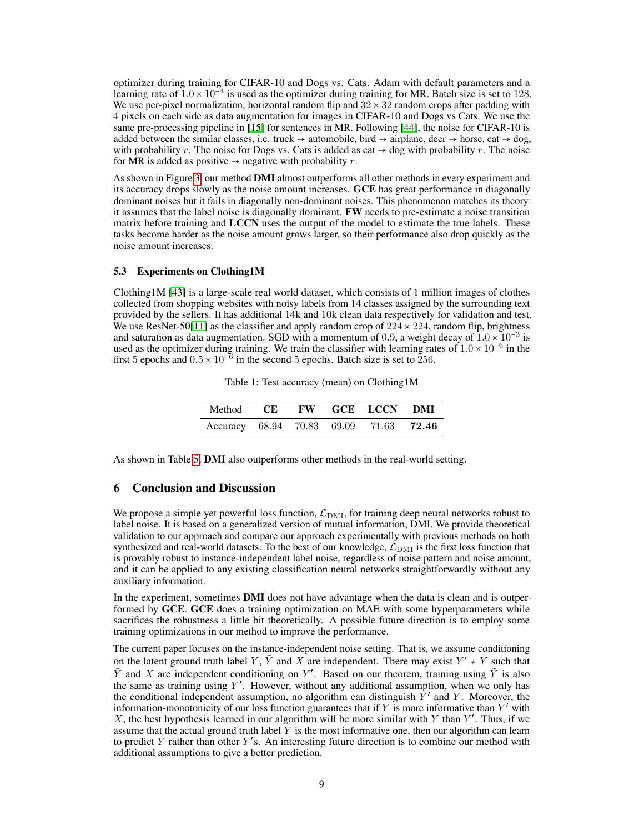optimizer during training for CIFAR-10 and Dogs vs. Cats. Adam with default parameters and a learning rate of  $1.0 \times 10^{-4}$  is used as the optimizer during training for MR. Batch size is set to 128. We use per-pixel normalization, horizontal random flip and  $32 \times 32$  random crops after padding with 4 pixels on each side as data augmentation for images in CIFAR-10 and Dogs vs Cats. We use the same pre-processing pipeline in [\[15\]](#page-9-16) for sentences in MR. Following [\[44\]](#page-11-4), the noise for CIFAR-10 is added between the similar classes, i.e. truck  $\rightarrow$  automobile, bird  $\rightarrow$  airplane, deer  $\rightarrow$  horse, cat  $\rightarrow$  dog, with probability r. The noise for Dogs vs. Cats is added as cat  $\rightarrow$  dog with probability r. The noise for MR is added as positive  $\rightarrow$  negative with probability r.

As shown in Figure [3,](#page-7-0) our method DMI almost outperforms all other methods in every experiment and its accuracy drops slowly as the noise amount increases. GCE has great performance in diagonally dominant noises but it fails in diagonally non-dominant noises. This phenomenon matches its theory: it assumes that the label noise is diagonally dominant. FW needs to pre-estimate a noise transition matrix before training and LCCN uses the output of the model to estimate the true labels. These tasks become harder as the noise amount grows larger, so their performance also drop quickly as the noise amount increases.

#### 5.3 Experiments on Clothing1M

Clothing1M [\[43\]](#page-11-2) is a large-scale real world dataset, which consists of 1 million images of clothes collected from shopping websites with noisy labels from 14 classes assigned by the surrounding text provided by the sellers. It has additional 14k and 10k clean data respectively for validation and test. We use ResNet-50[\[11\]](#page-9-15) as the classifier and apply random crop of  $224 \times 224$ , random flip, brightness and saturation as data augmentation. SGD with a momentum of 0.9, a weight decay of  $1.0 \times 10^{-3}$  is used as the optimizer during training. We train the classifier with learning rates of  $1.0 \times 10^{-6}$  in the first 5 epochs and  $0.5 \times 10^{-6}$  in the second 5 epochs. Batch size is set to 256.

Table 1: Test accuracy (mean) on Clothing1M

| Method CE FW GCE LCCN DMI                     |  |  |  |
|-----------------------------------------------|--|--|--|
| Accuracy 68.94 70.83 69.09 71.63 <b>72.46</b> |  |  |  |

As shown in Table [5,](#page-15-0) DMI also outperforms other methods in the real-world setting.

## 6 Conclusion and Discussion

We propose a simple yet powerful loss function,  $\mathcal{L}_{\text{DMI}}$ , for training deep neural networks robust to label noise. It is based on a generalized version of mutual information, DMI. We provide theoretical validation to our approach and compare our approach experimentally with previous methods on both synthesized and real-world datasets. To the best of our knowledge,  $\mathcal{L}_{\rm DMI}$  is the first loss function that is provably robust to instance-independent label noise, regardless of noise pattern and noise amount, and it can be applied to any existing classification neural networks straightforwardly without any auxiliary information.

In the experiment, sometimes **DMI** does not have advantage when the data is clean and is outperformed by GCE. GCE does a training optimization on MAE with some hyperparameters while sacrifices the robustness a little bit theoretically. A possible future direction is to employ some training optimizations in our method to improve the performance.

The current paper focuses on the instance-independent noise setting. That is, we assume conditioning on the latent ground truth label Y,  $\tilde{Y}$  and X are independent. There may exist  $Y' \neq Y$  such that  $\tilde{Y}$  and X are independent conditioning on Y'. Based on our theorem, training using  $\tilde{Y}$  is also the same as training using  $Y'$ . However, without any additional assumption, when we only has the conditional independent assumption, no algorithm can distinguish  $\dot{Y}'$  and Y. Moreover, the information-monotonicity of our loss function guarantees that if Y is more informative than  $Y'$  with X, the best hypothesis learned in our algorithm will be more similar with Y than  $Y'$ . Thus, if we assume that the actual ground truth label  $Y$  is the most informative one, then our algorithm can learn to predict Y rather than other  $Y'$ s. An interesting future direction is to combine our method with additional assumptions to give a better prediction.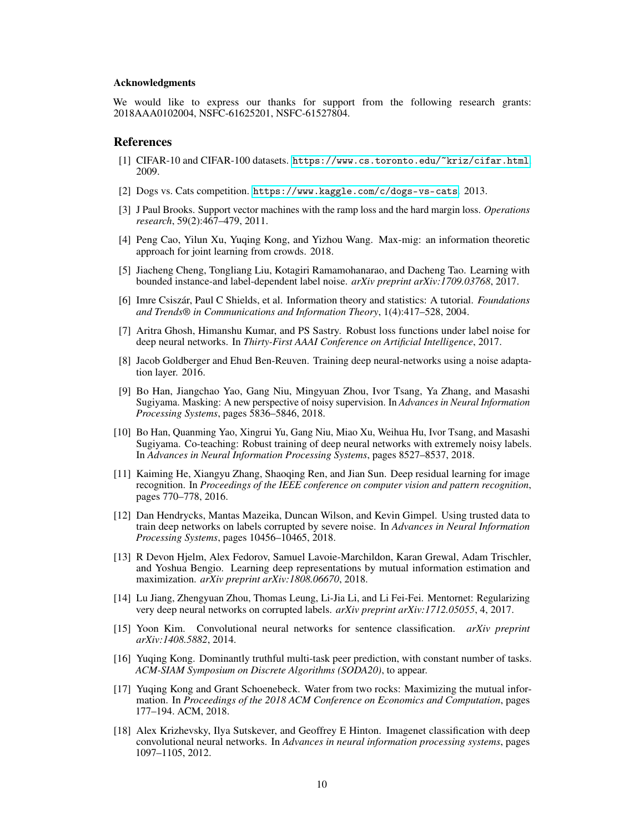#### Acknowledgments

We would like to express our thanks for support from the following research grants: 2018AAA0102004, NSFC-61625201, NSFC-61527804.

### References

- <span id="page-9-13"></span>[1] CIFAR-10 and CIFAR-100 datasets. <https://www.cs.toronto.edu/~kriz/cifar.html>. 2009.
- <span id="page-9-14"></span>[2] Dogs vs. Cats competition. <https://www.kaggle.com/c/dogs-vs-cats>. 2013.
- <span id="page-9-1"></span>[3] J Paul Brooks. Support vector machines with the ramp loss and the hard margin loss. *Operations research*, 59(2):467–479, 2011.
- <span id="page-9-9"></span>[4] Peng Cao, Yilun Xu, Yuqing Kong, and Yizhou Wang. Max-mig: an information theoretic approach for joint learning from crowds. 2018.
- <span id="page-9-7"></span>[5] Jiacheng Cheng, Tongliang Liu, Kotagiri Ramamohanarao, and Dacheng Tao. Learning with bounded instance-and label-dependent label noise. *arXiv preprint arXiv:1709.03768*, 2017.
- <span id="page-9-11"></span>[6] Imre Csiszár, Paul C Shields, et al. Information theory and statistics: A tutorial. *Foundations and Trends® in Communications and Information Theory*, 1(4):417–528, 2004.
- <span id="page-9-0"></span>[7] Aritra Ghosh, Himanshu Kumar, and PS Sastry. Robust loss functions under label noise for deep neural networks. In *Thirty-First AAAI Conference on Artificial Intelligence*, 2017.
- <span id="page-9-3"></span>[8] Jacob Goldberger and Ehud Ben-Reuven. Training deep neural-networks using a noise adaptation layer. 2016.
- <span id="page-9-4"></span>[9] Bo Han, Jiangchao Yao, Gang Niu, Mingyuan Zhou, Ivor Tsang, Ya Zhang, and Masashi Sugiyama. Masking: A new perspective of noisy supervision. In *Advances in Neural Information Processing Systems*, pages 5836–5846, 2018.
- <span id="page-9-6"></span>[10] Bo Han, Quanming Yao, Xingrui Yu, Gang Niu, Miao Xu, Weihua Hu, Ivor Tsang, and Masashi Sugiyama. Co-teaching: Robust training of deep neural networks with extremely noisy labels. In *Advances in Neural Information Processing Systems*, pages 8527–8537, 2018.
- <span id="page-9-15"></span>[11] Kaiming He, Xiangyu Zhang, Shaoqing Ren, and Jian Sun. Deep residual learning for image recognition. In *Proceedings of the IEEE conference on computer vision and pattern recognition*, pages 770–778, 2016.
- <span id="page-9-2"></span>[12] Dan Hendrycks, Mantas Mazeika, Duncan Wilson, and Kevin Gimpel. Using trusted data to train deep networks on labels corrupted by severe noise. In *Advances in Neural Information Processing Systems*, pages 10456–10465, 2018.
- <span id="page-9-8"></span>[13] R Devon Hjelm, Alex Fedorov, Samuel Lavoie-Marchildon, Karan Grewal, Adam Trischler, and Yoshua Bengio. Learning deep representations by mutual information estimation and maximization. *arXiv preprint arXiv:1808.06670*, 2018.
- <span id="page-9-5"></span>[14] Lu Jiang, Zhengyuan Zhou, Thomas Leung, Li-Jia Li, and Li Fei-Fei. Mentornet: Regularizing very deep neural networks on corrupted labels. *arXiv preprint arXiv:1712.05055*, 4, 2017.
- <span id="page-9-16"></span>[15] Yoon Kim. Convolutional neural networks for sentence classification. *arXiv preprint arXiv:1408.5882*, 2014.
- <span id="page-9-12"></span>[16] Yuqing Kong. Dominantly truthful multi-task peer prediction, with constant number of tasks. *ACM-SIAM Symposium on Discrete Algorithms (SODA20)*, to appear.
- <span id="page-9-10"></span>[17] Yuqing Kong and Grant Schoenebeck. Water from two rocks: Maximizing the mutual information. In *Proceedings of the 2018 ACM Conference on Economics and Computation*, pages 177–194. ACM, 2018.
- [18] Alex Krizhevsky, Ilya Sutskever, and Geoffrey E Hinton. Imagenet classification with deep convolutional neural networks. In *Advances in neural information processing systems*, pages 1097–1105, 2012.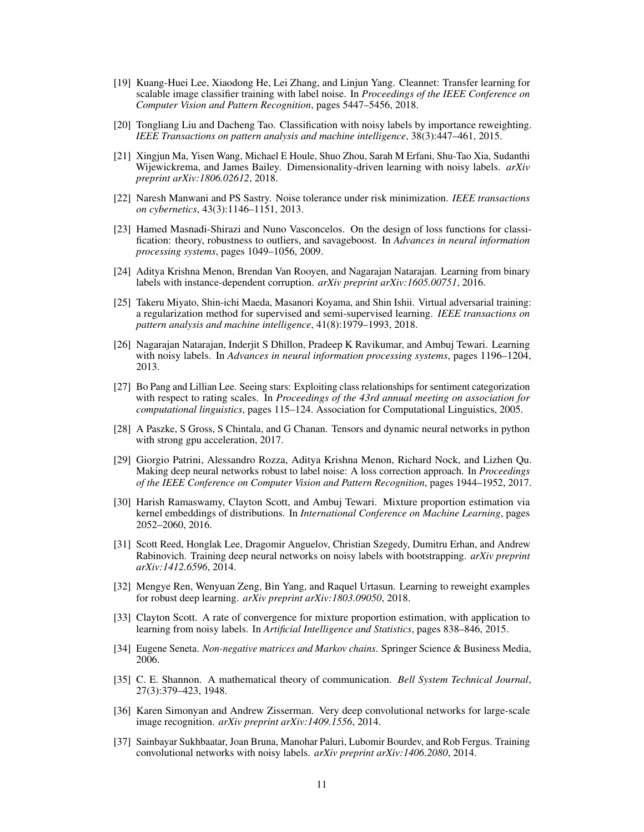- <span id="page-10-11"></span>[19] Kuang-Huei Lee, Xiaodong He, Lei Zhang, and Linjun Yang. Cleannet: Transfer learning for scalable image classifier training with label noise. In *Proceedings of the IEEE Conference on Computer Vision and Pattern Recognition*, pages 5447–5456, 2018.
- <span id="page-10-5"></span>[20] Tongliang Liu and Dacheng Tao. Classification with noisy labels by importance reweighting. *IEEE Transactions on pattern analysis and machine intelligence*, 38(3):447–461, 2015.
- <span id="page-10-10"></span>[21] Xingjun Ma, Yisen Wang, Michael E Houle, Shuo Zhou, Sarah M Erfani, Shu-Tao Xia, Sudanthi Wijewickrema, and James Bailey. Dimensionality-driven learning with noisy labels. *arXiv preprint arXiv:1806.02612*, 2018.
- <span id="page-10-0"></span>[22] Naresh Manwani and PS Sastry. Noise tolerance under risk minimization. *IEEE transactions on cybernetics*, 43(3):1146–1151, 2013.
- <span id="page-10-1"></span>[23] Hamed Masnadi-Shirazi and Nuno Vasconcelos. On the design of loss functions for classification: theory, robustness to outliers, and savageboost. In *Advances in neural information processing systems*, pages 1049–1056, 2009.
- <span id="page-10-13"></span>[24] Aditya Krishna Menon, Brendan Van Rooyen, and Nagarajan Natarajan. Learning from binary labels with instance-dependent corruption. *arXiv preprint arXiv:1605.00751*, 2016.
- <span id="page-10-12"></span>[25] Takeru Miyato, Shin-ichi Maeda, Masanori Koyama, and Shin Ishii. Virtual adversarial training: a regularization method for supervised and semi-supervised learning. *IEEE transactions on pattern analysis and machine intelligence*, 41(8):1979–1993, 2018.
- <span id="page-10-2"></span>[26] Nagarajan Natarajan, Inderjit S Dhillon, Pradeep K Ravikumar, and Ambuj Tewari. Learning with noisy labels. In *Advances in neural information processing systems*, pages 1196–1204, 2013.
- <span id="page-10-17"></span>[27] Bo Pang and Lillian Lee. Seeing stars: Exploiting class relationships for sentiment categorization with respect to rating scales. In *Proceedings of the 43rd annual meeting on association for computational linguistics*, pages 115–124. Association for Computational Linguistics, 2005.
- <span id="page-10-16"></span>[28] A Paszke, S Gross, S Chintala, and G Chanan. Tensors and dynamic neural networks in python with strong gpu acceleration, 2017.
- <span id="page-10-3"></span>[29] Giorgio Patrini, Alessandro Rozza, Aditya Krishna Menon, Richard Nock, and Lizhen Qu. Making deep neural networks robust to label noise: A loss correction approach. In *Proceedings of the IEEE Conference on Computer Vision and Pattern Recognition*, pages 1944–1952, 2017.
- <span id="page-10-6"></span>[30] Harish Ramaswamy, Clayton Scott, and Ambuj Tewari. Mixture proportion estimation via kernel embeddings of distributions. In *International Conference on Machine Learning*, pages 2052–2060, 2016.
- <span id="page-10-8"></span>[31] Scott Reed, Honglak Lee, Dragomir Anguelov, Christian Szegedy, Dumitru Erhan, and Andrew Rabinovich. Training deep neural networks on noisy labels with bootstrapping. *arXiv preprint arXiv:1412.6596*, 2014.
- <span id="page-10-9"></span>[32] Mengye Ren, Wenyuan Zeng, Bin Yang, and Raquel Urtasun. Learning to reweight examples for robust deep learning. *arXiv preprint arXiv:1803.09050*, 2018.
- <span id="page-10-4"></span>[33] Clayton Scott. A rate of convergence for mixture proportion estimation, with application to learning from noisy labels. In *Artificial Intelligence and Statistics*, pages 838–846, 2015.
- <span id="page-10-15"></span>[34] Eugene Seneta. *Non-negative matrices and Markov chains*. Springer Science & Business Media, 2006.
- <span id="page-10-14"></span>[35] C. E. Shannon. A mathematical theory of communication. *Bell System Technical Journal*, 27(3):379–423, 1948.
- <span id="page-10-18"></span>[36] Karen Simonyan and Andrew Zisserman. Very deep convolutional networks for large-scale image recognition. *arXiv preprint arXiv:1409.1556*, 2014.
- <span id="page-10-7"></span>[37] Sainbayar Sukhbaatar, Joan Bruna, Manohar Paluri, Lubomir Bourdev, and Rob Fergus. Training convolutional networks with noisy labels. *arXiv preprint arXiv:1406.2080*, 2014.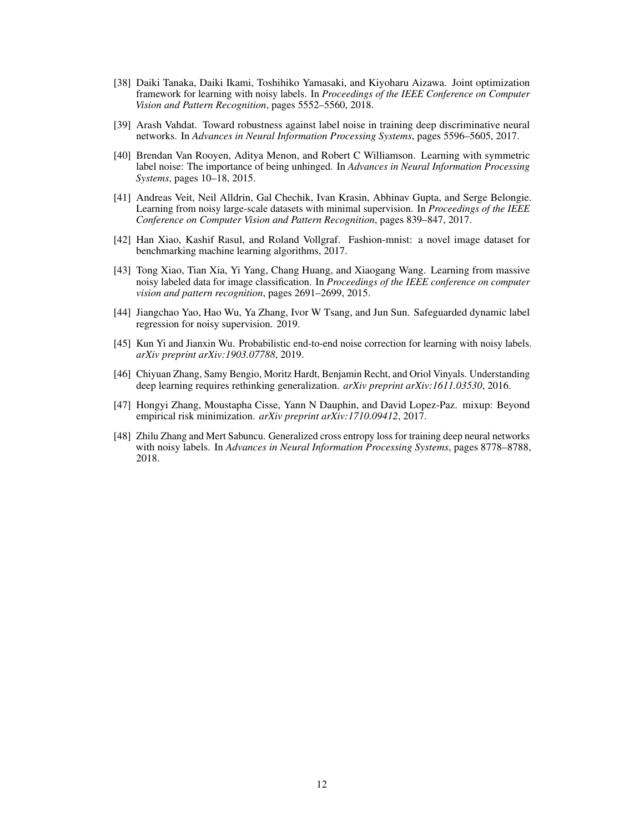- <span id="page-11-7"></span>[38] Daiki Tanaka, Daiki Ikami, Toshihiko Yamasaki, and Kiyoharu Aizawa. Joint optimization framework for learning with noisy labels. In *Proceedings of the IEEE Conference on Computer Vision and Pattern Recognition*, pages 5552–5560, 2018.
- <span id="page-11-3"></span>[39] Arash Vahdat. Toward robustness against label noise in training deep discriminative neural networks. In *Advances in Neural Information Processing Systems*, pages 5596–5605, 2017.
- <span id="page-11-1"></span>[40] Brendan Van Rooyen, Aditya Menon, and Robert C Williamson. Learning with symmetric label noise: The importance of being unhinged. In *Advances in Neural Information Processing Systems*, pages 10–18, 2015.
- <span id="page-11-6"></span>[41] Andreas Veit, Neil Alldrin, Gal Chechik, Ivan Krasin, Abhinav Gupta, and Serge Belongie. Learning from noisy large-scale datasets with minimal supervision. In *Proceedings of the IEEE Conference on Computer Vision and Pattern Recognition*, pages 839–847, 2017.
- <span id="page-11-10"></span>[42] Han Xiao, Kashif Rasul, and Roland Vollgraf. Fashion-mnist: a novel image dataset for benchmarking machine learning algorithms, 2017.
- <span id="page-11-2"></span>[43] Tong Xiao, Tian Xia, Yi Yang, Chang Huang, and Xiaogang Wang. Learning from massive noisy labeled data for image classification. In *Proceedings of the IEEE conference on computer vision and pattern recognition*, pages 2691–2699, 2015.
- <span id="page-11-4"></span>[44] Jiangchao Yao, Hao Wu, Ya Zhang, Ivor W Tsang, and Jun Sun. Safeguarded dynamic label regression for noisy supervision. 2019.
- <span id="page-11-8"></span>[45] Kun Yi and Jianxin Wu. Probabilistic end-to-end noise correction for learning with noisy labels. *arXiv preprint arXiv:1903.07788*, 2019.
- <span id="page-11-5"></span>[46] Chiyuan Zhang, Samy Bengio, Moritz Hardt, Benjamin Recht, and Oriol Vinyals. Understanding deep learning requires rethinking generalization. *arXiv preprint arXiv:1611.03530*, 2016.
- <span id="page-11-9"></span>[47] Hongyi Zhang, Moustapha Cisse, Yann N Dauphin, and David Lopez-Paz. mixup: Beyond empirical risk minimization. *arXiv preprint arXiv:1710.09412*, 2017.
- <span id="page-11-0"></span>[48] Zhilu Zhang and Mert Sabuncu. Generalized cross entropy loss for training deep neural networks with noisy labels. In *Advances in Neural Information Processing Systems*, pages 8778–8788, 2018.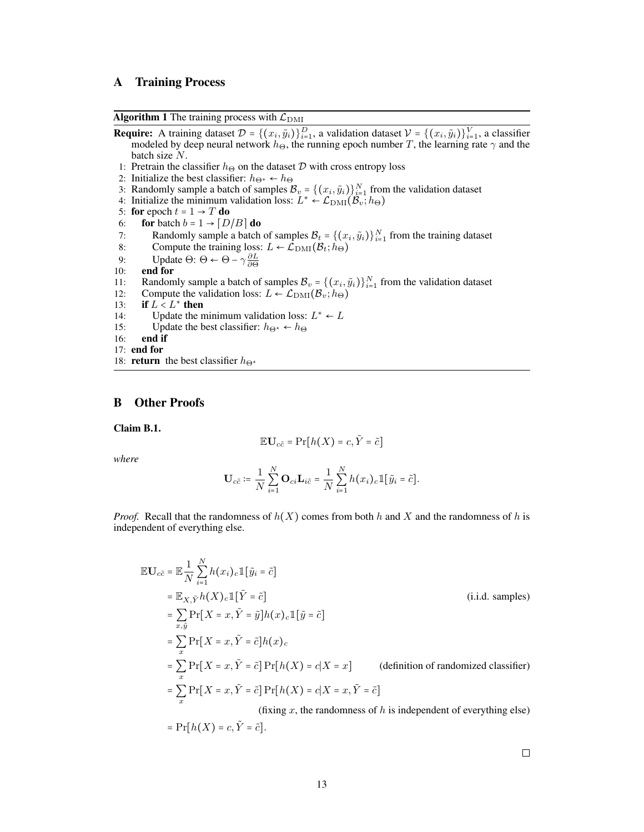# A Training Process

Algorithm 1 The training process with  $\mathcal{L}_{\text{DMI}}$ 

- **Require:** A training dataset  $\mathcal{D} = \{(x_i, \tilde{y}_i)\}_{i=1}^D$ , a validation dataset  $\mathcal{V} = \{(x_i, \tilde{y}_i)\}_{i=1}^V$ , a classifier modeled by deep neural network  $h_{\Theta}$ , the running epoch number T, the learning rate  $\gamma$  and the batch size N.
- 1: Pretrain the classifier  $h_{\Theta}$  on the dataset  $D$  with cross entropy loss
- 2: Initialize the best classifier:  $h_{\Theta^*} \leftarrow h_{\Theta}$
- 3: Randomly sample a batch of samples  $B_v = \{(x_i, \tilde{y}_i)\}_{i=1}^N$  from the validation dataset
- 4: Initialize the minimum validation loss:  $L^* \leftarrow \mathcal{L}_{\text{DMI}}(\mathcal{B}_v; h_{\Theta})$
- 5: for epoch  $t = 1 \rightarrow T$  do<br>6: for batch  $b = 1 \rightarrow [D]$
- for batch  $b = 1 \rightarrow [D/B]$  do
- 7: Randomly sample a batch of samples  $\mathcal{B}_t = \{(x_i, \tilde{y}_i)\}_{i=1}^N$  from the training dataset
- 8: Compute the training loss:  $L \leftarrow \mathcal{L}_{\text{DMI}}(\mathcal{B}_t; h_{\Theta})$
- 9: Update  $\Theta$ :  $\Theta \leftarrow \Theta \gamma \frac{\partial L}{\partial \Theta}$
- 10: end for
- 11: Randomly sample a batch of samples  $\mathcal{B}_v = \{(x_i, \tilde{y}_i)\}_{i=1}^N$  from the validation dataset
- 12: Compute the validation loss:  $L \leftarrow \mathcal{L}_{\text{DMI}}(\mathcal{B}_v; h_{\Theta})$ <br>13: **if**  $L < L^*$  **then**
- 13: if  $L < L^*$  then
- 14: Update the minimum validation loss:  $L^* \leftarrow L$
- 15: Update the best classifier:  $h_{\Theta^*} \leftarrow h_{\Theta}$ <br>16: **end if**
- end if
- 17: end for
- 18: **return** the best classifier  $h_{\Theta^*}$

### B Other Proofs

Claim B.1.

$$
\mathbb{E} \mathbf{U}_{c\tilde{c}} = \Pr[h(X) = c, \tilde{Y} = \tilde{c}]
$$

*where*

$$
\mathbf{U}_{c\tilde{c}} \coloneqq \frac{1}{N} \sum_{i=1}^N \mathbf{O}_{ci} \mathbf{L}_{i\tilde{c}} = \frac{1}{N} \sum_{i=1}^N h(x_i)_c \mathbbm{1}[\tilde{y}_i = \tilde{c}].
$$

*Proof.* Recall that the randomness of  $h(X)$  comes from both h and X and the randomness of h is independent of everything else.

$$
\mathbb{E} \mathbf{U}_{c\tilde{c}} = \mathbb{E} \frac{1}{N} \sum_{i=1}^{N} h(x_i)_c \mathbb{1} [\tilde{y}_i = \tilde{c}]
$$
\n
$$
= \mathbb{E}_{X, \tilde{Y}} h(X)_c \mathbb{1} [\tilde{Y} = \tilde{c}]
$$
\n
$$
= \sum_{x, \tilde{y}} \Pr[X = x, \tilde{Y} = \tilde{y}] h(x)_c \mathbb{1} [\tilde{y} = \tilde{c}]
$$
\n(i.i.d. samples)\n
$$
= \sum_{x} \Pr[X = x, \tilde{Y} = \tilde{c}] h(x)_c
$$
\n
$$
= \sum_{x} \Pr[X = x, \tilde{Y} = \tilde{c}] \Pr[h(X) = c | X = x] \qquad \text{(definition of randomized classifier)}
$$
\n
$$
= \sum_{x} \Pr[X = x, \tilde{Y} = \tilde{c}] \Pr[h(X) = c | X = x, \tilde{Y} = \tilde{c}]
$$
\n(fixing x, the randomness of h is independent of everything else)\n
$$
= \Pr[h(X) = c, \tilde{Y} = \tilde{c}].
$$

 $\Box$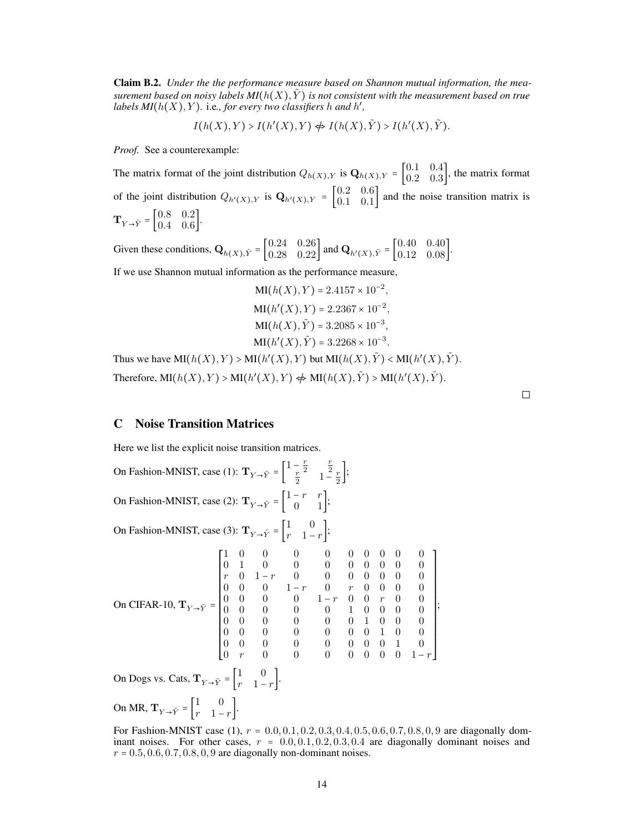Claim B.2. *Under the the performance measure based on Shannon mutual information, the measurement based on noisy labels*  $MI(h(X), Y)$  *is not consistent with the measurement based on true labels MI*( $h(X)$ ,  $Y$ ). i.e., for every two classifiers  $h$  and  $h'$ ,

$$
I(h(X),Y) > I(h'(X),Y) \nleftrightarrow I(h(X),\tilde{Y}) > I(h'(X),\tilde{Y}).
$$

*Proof.* See a counterexample:

The matrix format of the joint distribution  $Q_{h(X),Y}$  is  $\mathbf{Q}_{h(X),Y} = \begin{bmatrix} 0.1 & 0.4 \\ 0.2 & 0.3 \end{bmatrix}$  $\begin{bmatrix} 0.1 & 0.4 \\ 0.2 & 0.3 \end{bmatrix}$ , the matrix format of the joint distribution  $Q_{h'(X),Y}$  is  $\mathbf{Q}_{h'(X),Y} = \begin{bmatrix} 0.2 & 0.6 \\ 0.1 & 0.1 \end{bmatrix}$  $\begin{bmatrix} 0.2 & 0.0 \\ 0.1 & 0.1 \end{bmatrix}$  and the noise transition matrix is  $\mathbf{T}_{Y\to \tilde{Y}} = \begin{bmatrix} 0.8 & 0.2 \\ 0.4 & 0.6 \end{bmatrix}$  $0.4 \quad 0.6$ .

Given these conditions,  $\mathbf{Q}_{h(X), \tilde{Y}} = \begin{bmatrix} 0.24 & 0.26 \\ 0.28 & 0.22 \end{bmatrix}$  and  $\mathbf{Q}_{h'(X), \tilde{Y}} = \begin{bmatrix} 0.40 & 0.40 \\ 0.12 & 0.08 \end{bmatrix}$ .

If we use Shannon mutual information as the performance measure,

$$
MI(h(X), Y) = 2.4157 \times 10^{-2},
$$
  
\n
$$
MI(h'(X), Y) = 2.2367 \times 10^{-2},
$$
  
\n
$$
MI(h(X), \tilde{Y}) = 3.2085 \times 10^{-3},
$$
  
\n
$$
MI(h'(X), \tilde{Y}) = 3.2268 \times 10^{-3}.
$$

Thus we have  $MI(h(X), Y) > MI(h'(X), Y)$  but  $MI(h(X), \tilde{Y}) < MI(h'(X), \tilde{Y})$ . Therefore,  $\text{MI}(h(X), Y) > \text{MI}(h'(X), Y) \nleftrightarrow \text{MI}(h(X), \tilde{Y}) > \text{MI}(h'(X), \tilde{Y}).$ 

## $\Box$

#### <span id="page-13-0"></span>C Noise Transition Matrices

Here we list the explicit noise transition matrices.

On Fashion-MNIST, case (1):  $\mathbf{T}_{Y \to \tilde{Y}} = \begin{bmatrix} 1 - \frac{r}{2} & \frac{r}{2} \\ \frac{r}{2} & 1 - \frac{r}{2} \end{bmatrix};$ On Fashion-MNIST, case (2):  $\mathbf{T}_{Y \to \tilde{Y}} = \begin{bmatrix} 1 - r & r \\ 0 & 1 \end{bmatrix};$ On Fashion-MNIST, case (3):  $\mathbf{T}_{Y\rightarrow \tilde{Y}} = \begin{bmatrix} 1 & 0 \\ r & 1 \end{bmatrix}$  $\begin{bmatrix} 1 & 0 \\ r & 1-r \end{bmatrix}$ ; On CIFAR-10,  $\mathbf{T}_{Y\rightarrow \tilde{Y}}$  = ⎡ ⎢ ⎢ ⎢ ⎢ ⎢ ⎢ ⎢ ⎢ ⎢ ⎢ ⎢ ⎢ ⎢ ⎢ ⎢ ⎢ ⎢ ⎢ ⎣ 1 0 0 0 0 0 0 0 0 0 0 1 0 0 0 0 0 0 0 0  $r \quad 0 \quad 1-r \quad 0 \quad 0 \quad 0 \quad 0 \quad 0 \quad 0$ 0 0 0 1 − r 0 r 0 0 0 0 0 0 0 0 1 − r 0 0 r 0 0 0 0 0 0 0 0 1 0 0 0 0 0 0 0 0 0 0 1 0 0 0 0 0 0 0 0 0 0 1 0 0 0 0 0 0 0 0 0 0 1 0  $0 \t r \t 0 \t 0 \t 0 \t 0 \t 0 \t 0 \t 1-r$  $\blacksquare$ ; On Dogs vs. Cats,  $\mathbf{T}_{Y\rightarrow \tilde{Y}} = \begin{bmatrix} 1 & 0 \\ r & 1 \end{bmatrix}$  $\begin{bmatrix} 1 & 0 \\ r & 1-r \end{bmatrix}$ . On MR,  $\mathbf{T}_{Y\rightarrow \tilde{Y}} = \begin{bmatrix} 1 & 0 \\ r & 1 \end{bmatrix}$  $\begin{bmatrix} 1 & 0 \\ r & 1-r \end{bmatrix}$ .

For Fashion-MNIST case (1),  $r = 0.0, 0.1, 0.2, 0.3, 0.4, 0.5, 0.6, 0.7, 0.8, 0, 9$  are diagonally dominant noises. For other cases,  $r = 0.0, 0.1, 0.2, 0.3, 0.4$  are diagonally dominant noises and  $r = 0.5, 0.6, 0.7, 0.8, 0, 9$  are diagonally non-dominant noises.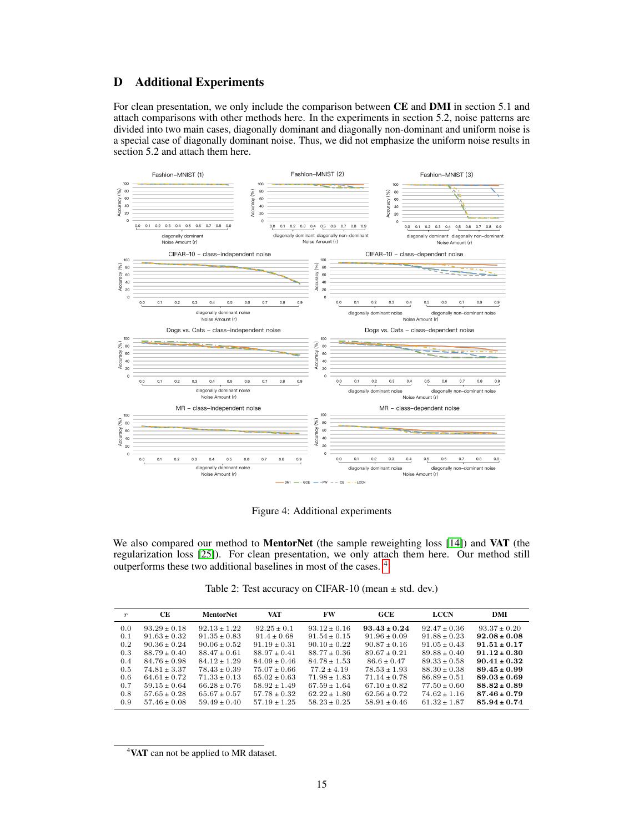# <span id="page-14-0"></span>D Additional Experiments

For clean presentation, we only include the comparison between CE and DMI in section 5.1 and attach comparisons with other methods here. In the experiments in section 5.2, noise patterns are divided into two main cases, diagonally dominant and diagonally non-dominant and uniform noise is a special case of diagonally dominant noise. Thus, we did not emphasize the uniform noise results in section 5.2 and attach them here.



Figure 4: Additional experiments

We also compared our method to **MentorNet** (the sample reweighting loss [\[14\]](#page-9-5)) and VAT (the regularization loss [\[25\]](#page-10-12)). For clean presentation, we only attach them here. Our method still outperforms these two additional baselines in most of the cases. [4](#page-14-1)

Table 2: Test accuracy on CIFAR-10 (mean  $\pm$  std. dev.)

| $\boldsymbol{r}$ | CE.            | MentorNet        | VAT              | FW               | GCE              | <b>LCCN</b>      | DMI              |
|------------------|----------------|------------------|------------------|------------------|------------------|------------------|------------------|
| 0.0              | $93.29 + 0.18$ | $92.13 \pm 1.22$ | $92.25 \pm 0.1$  | $93.12 \pm 0.16$ | $93.43 \pm 0.24$ | $92.47 \pm 0.36$ | $93.37 \pm 0.20$ |
| 0.1              | $91.63 + 0.32$ | $91.35 \pm 0.83$ | $91.4 + 0.68$    | $91.54 \pm 0.15$ | $91.96 + 0.09$   | $91.88 + 0.23$   | $92.08 \pm 0.08$ |
| 0.2              | $90.36 + 0.24$ | $90.06 + 0.52$   | $91.19 + 0.31$   | $90.10 + 0.22$   | $90.87 + 0.16$   | $91.05 + 0.43$   | $91.51 \pm 0.17$ |
| 0.3              | $88.79 + 0.40$ | $88.47 \pm 0.61$ | $88.97 \pm 0.41$ | $88.77 + 0.36$   | $89.67 \pm 0.21$ | $89.88 + 0.40$   | $91.12 \pm 0.30$ |
| 0.4              | $84.76 + 0.98$ | $84.12 + 1.29$   | $84.09 + 0.46$   | $84.78 + 1.53$   | $86.6 + 0.47$    | $89.33 + 0.58$   | $90.41 \pm 0.32$ |
| 0.5              | $74.81 + 3.37$ | $78.43 + 0.39$   | $75.07 + 0.66$   | $77.2 + 4.19$    | $78.53 + 1.93$   | $88.30 + 0.38$   | $89.45 \pm 0.99$ |
| 0.6              | $64.61 + 0.72$ | $71.33 + 0.13$   | $65.02 + 0.63$   | $71.98 + 1.83$   | $71.14 + 0.78$   | $86.89 + 0.51$   | $89.03 \pm 0.69$ |
| 0.7              | $59.15 + 0.64$ | $66.28 + 0.76$   | $58.92 + 1.49$   | $67.59 + 1.64$   | $67.10 + 0.82$   | $77.50 + 0.60$   | $88.82 \pm 0.89$ |
| 0.8              | $57.65 + 0.28$ | $65.67 + 0.57$   | $57.78 + 0.32$   | $62.22 + 1.80$   | $62.56 + 0.72$   | $74.62 + 1.16$   | $87.46 \pm 0.79$ |
| 0.9              | $57.46 + 0.08$ | $59.49 + 0.40$   | $57.19 + 1.25$   | $58.23 + 0.25$   | $58.91 + 0.46$   | $61.32 + 1.87$   | $85.94 \pm 0.74$ |

<span id="page-14-1"></span><sup>4</sup>VAT can not be applied to MR dataset.